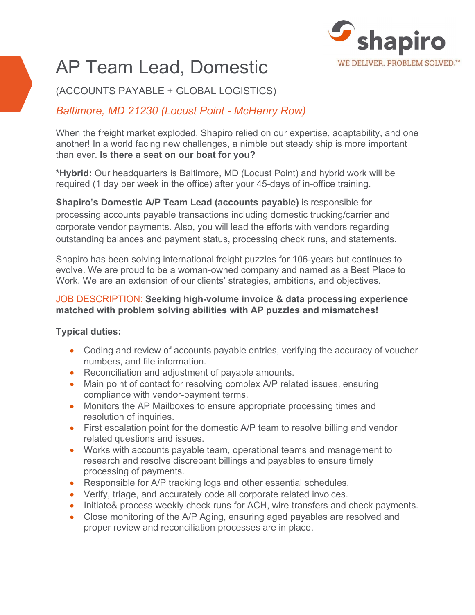

# AP Team Lead, Domestic

(ACCOUNTS PAYABLE + GLOBAL LOGISTICS)

# *Baltimore, MD 21230 (Locust Point - McHenry Row)*

When the freight market exploded, Shapiro relied on our expertise, adaptability, and one another! In a world facing new challenges, a nimble but steady ship is more important than ever. **Is there a seat on our boat for you?**

**\*Hybrid:** Our headquarters is Baltimore, MD (Locust Point) and hybrid work will be required (1 day per week in the office) after your 45-days of in-office training.

**Shapiro's Domestic A/P Team Lead (accounts payable)** is responsible for processing accounts payable transactions including domestic trucking/carrier and corporate vendor payments. Also, you will lead the efforts with vendors regarding outstanding balances and payment status, processing check runs, and statements.

Shapiro has been solving international freight puzzles for 106-years but continues to evolve. We are proud to be a woman-owned company and named as a Best Place to Work. We are an extension of our clients' strategies, ambitions, and objectives.

#### JOB DESCRIPTION: **Seeking high-volume invoice & data processing experience matched with problem solving abilities with AP puzzles and mismatches!**

## **Typical duties:**

- Coding and review of accounts payable entries, verifying the accuracy of voucher numbers, and file information.
- Reconciliation and adjustment of payable amounts.
- Main point of contact for resolving complex A/P related issues, ensuring compliance with vendor-payment terms.
- Monitors the AP Mailboxes to ensure appropriate processing times and resolution of inquiries.
- First escalation point for the domestic A/P team to resolve billing and vendor related questions and issues.
- Works with accounts payable team, operational teams and management to research and resolve discrepant billings and payables to ensure timely processing of payments.
- Responsible for A/P tracking logs and other essential schedules.
- Verify, triage, and accurately code all corporate related invoices.
- Initiate& process weekly check runs for ACH, wire transfers and check payments.
- Close monitoring of the A/P Aging, ensuring aged payables are resolved and proper review and reconciliation processes are in place.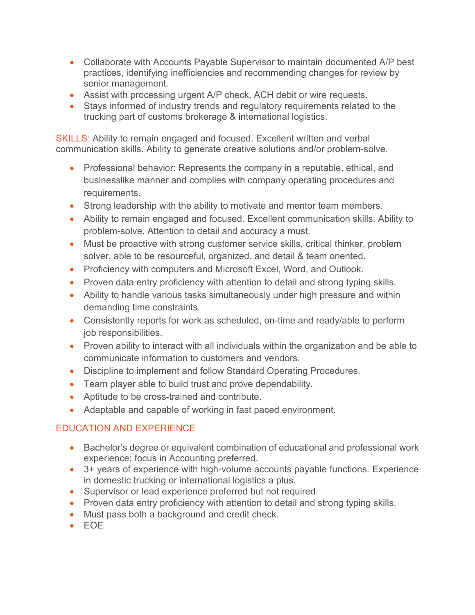- Collaborate with Accounts Payable Supervisor to maintain documented A/P best practices, identifying inefficiencies and recommending changes for review by senior management.
- Assist with processing urgent A/P check, ACH debit or wire requests.
- Stays informed of industry trends and regulatory requirements related to the trucking part of customs brokerage & international logistics.

SKILLS: Ability to remain engaged and focused. Excellent written and verbal communication skills. Ability to generate creative solutions and/or problem-solve.

- Professional behavior: Represents the company in a reputable, ethical, and businesslike manner and complies with company operating procedures and requirements.
- Strong leadership with the ability to motivate and mentor team members.
- Ability to remain engaged and focused. Excellent communication skills. Ability to problem-solve. Attention to detail and accuracy a must.
- Must be proactive with strong customer service skills, critical thinker, problem solver, able to be resourceful, organized, and detail & team oriented.
- Proficiency with computers and Microsoft Excel, Word, and Outlook.
- Proven data entry proficiency with attention to detail and strong typing skills.
- Ability to handle various tasks simultaneously under high pressure and within demanding time constraints.
- Consistently reports for work as scheduled, on-time and ready/able to perform job responsibilities.
- Proven ability to interact with all individuals within the organization and be able to communicate information to customers and vendors.
- Discipline to implement and follow Standard Operating Procedures.
- Team player able to build trust and prove dependability.
- Aptitude to be cross-trained and contribute.
- Adaptable and capable of working in fast paced environment.

## EDUCATION AND EXPERIENCE

- Bachelor's degree or equivalent combination of educational and professional work experience; focus in Accounting preferred.
- 3+ years of experience with high-volume accounts payable functions. Experience in domestic trucking or international logistics a plus.
- Supervisor or lead experience preferred but not required.
- Proven data entry proficiency with attention to detail and strong typing skills.
- Must pass both a background and credit check.
- EOE